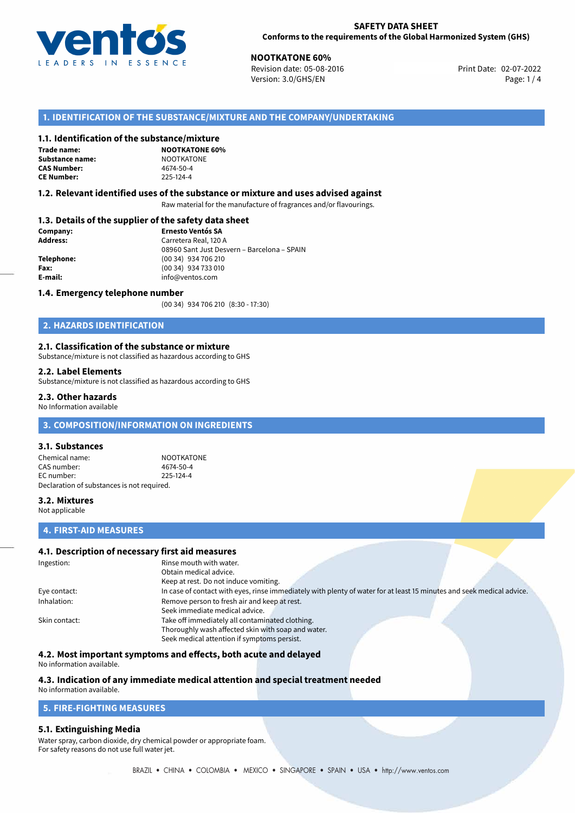

**NOOTKATONE 60%**<br>
Revision date: 05-08-2016 **Revision date: 02-07-2022** Version: 3.0/GHS/EN Page: 1 / 4

# **1. IDENTIFICATION OF THE SUBSTANCE/MIXTURE AND THE COMPANY/UNDERTAKING**

#### **1.1. Identification of the substance/mixture**

**Trade name: Substance name:** NOOTKATONE<br> **CAS Number:** 4674-50-4 **CAS Number: CE Number:** 225-124-4

**NOOTKATONE 60%**

#### **1.2. Relevant identified uses of the substance or mixture and uses advised against**

Raw material for the manufacture of fragrances and/or flavourings.

## **1.3. Details of the supplier of the safety data sheet**

| Company:        | <b>Ernesto Ventós SA</b>                    |  |
|-----------------|---------------------------------------------|--|
| <b>Address:</b> | Carretera Real, 120 A                       |  |
|                 | 08960 Sant Just Desvern - Barcelona - SPAIN |  |
| Telephone:      | (00 34) 934 706 210                         |  |
| Fax:            | (00 34) 934 733 010                         |  |
| E-mail:         | info@ventos.com                             |  |
|                 |                                             |  |

#### **1.4. Emergency telephone number**

(00 34) 934 706 210 (8:30 - 17:30)

# **2. HAZARDS IDENTIFICATION**

#### **2.1. Classification of the substance or mixture**

Substance/mixture is not classified as hazardous according to GHS

#### **2.2. Label Elements**

Substance/mixture is not classified as hazardous according to GHS

#### **2.3. Other hazards**

No Information available

# **3. COMPOSITION/INFORMATION ON INGREDIENTS**

#### **3.1. Substances**

Chemical name: NOOTKATONE CAS number: 4674-50-4 EC number: 225-124-4 Declaration of substances is not required.

## **3.2. Mixtures**

Not applicable

## **4. FIRST-AID MEASURES**

# **4.1. Description of necessary first aid measures**

| Ingestion:    | Rinse mouth with water.<br>Obtain medical advice.<br>Keep at rest. Do not induce vomiting.                                                           |  |  |
|---------------|------------------------------------------------------------------------------------------------------------------------------------------------------|--|--|
| Eye contact:  | In case of contact with eyes, rinse immediately with plenty of water for at least 15 minutes and seek medical advice.                                |  |  |
| Inhalation:   | Remove person to fresh air and keep at rest.<br>Seek immediate medical advice.                                                                       |  |  |
| Skin contact: | Take off immediately all contaminated clothing.<br>Thoroughly wash affected skin with soap and water.<br>Seek medical attention if symptoms persist. |  |  |

## **4.2. Most important symptoms and effects, both acute and delayed**

No information available.

# **4.3. Indication of any immediate medical attention and special treatment needed**

# No information available.

# **5. FIRE-FIGHTING MEASURES**

## **5.1. Extinguishing Media**

Water spray, carbon dioxide, dry chemical powder or appropriate foam. For safety reasons do not use full water jet.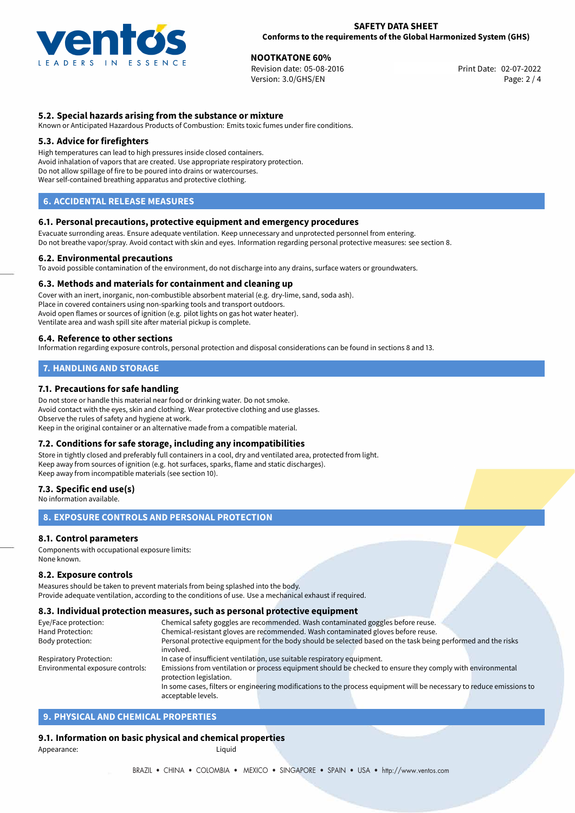

**NOOTKATONE 60%**<br>Revision date: 05-08-2016 **No. 2018 No. 2018** Print Date: 02-07-2022 Revision date: 05-08-2016 Version: 3.0/GHS/EN Page: 2 / 4

# **5.2. Special hazards arising from the substance or mixture**

Known or Anticipated Hazardous Products of Combustion: Emits toxic fumes under fire conditions.

## **5.3. Advice for firefighters**

High temperatures can lead to high pressures inside closed containers. Avoid inhalation of vapors that are created. Use appropriate respiratory protection. Do not allow spillage of fire to be poured into drains or watercourses. Wear self-contained breathing apparatus and protective clothing.

# **6. ACCIDENTAL RELEASE MEASURES**

#### **6.1. Personal precautions, protective equipment and emergency procedures**

Evacuate surronding areas. Ensure adequate ventilation. Keep unnecessary and unprotected personnel from entering. Do not breathe vapor/spray. Avoid contact with skin and eyes. Information regarding personal protective measures: see section 8.

#### **6.2. Environmental precautions**

To avoid possible contamination of the environment, do not discharge into any drains, surface waters or groundwaters.

#### **6.3. Methods and materials for containment and cleaning up**

Cover with an inert, inorganic, non-combustible absorbent material (e.g. dry-lime, sand, soda ash). Place in covered containers using non-sparking tools and transport outdoors. Avoid open flames or sources of ignition (e.g. pilot lights on gas hot water heater). Ventilate area and wash spill site after material pickup is complete.

#### **6.4. Reference to other sections**

Information regarding exposure controls, personal protection and disposal considerations can be found in sections 8 and 13.

# **7. HANDLING AND STORAGE**

## **7.1. Precautions for safe handling**

Do not store or handle this material near food or drinking water. Do not smoke. Avoid contact with the eyes, skin and clothing. Wear protective clothing and use glasses. Observe the rules of safety and hygiene at work. Keep in the original container or an alternative made from a compatible material.

## **7.2. Conditions for safe storage, including any incompatibilities**

Store in tightly closed and preferably full containers in a cool, dry and ventilated area, protected from light. Keep away from sources of ignition (e.g. hot surfaces, sparks, flame and static discharges). Keep away from incompatible materials (see section 10).

### **7.3. Specific end use(s)**

No information available.

# **8. EXPOSURE CONTROLS AND PERSONAL PROTECTION**

## **8.1. Control parameters**

Components with occupational exposure limits: None known.

#### **8.2. Exposure controls**

Measures should be taken to prevent materials from being splashed into the body. Provide adequate ventilation, according to the conditions of use. Use a mechanical exhaust if required.

#### **8.3. Individual protection measures, such as personal protective equipment**

acceptable levels.

| Eye/Face protection:             | Chemical safety goggles are recommended. Wash contaminated goggles before reuse.                                      |  |  |  |  |
|----------------------------------|-----------------------------------------------------------------------------------------------------------------------|--|--|--|--|
| Hand Protection:                 | Chemical-resistant gloves are recommended. Wash contaminated gloves before reuse.                                     |  |  |  |  |
| Body protection:                 | Personal protective equipment for the body should be selected based on the task being performed and the risks         |  |  |  |  |
|                                  | involved.                                                                                                             |  |  |  |  |
| <b>Respiratory Protection:</b>   | In case of insufficient ventilation, use suitable respiratory equipment.                                              |  |  |  |  |
| Environmental exposure controls: | Emissions from ventilation or process equipment should be checked to ensure they comply with environmental            |  |  |  |  |
|                                  | protection legislation.                                                                                               |  |  |  |  |
|                                  | In some cases, filters or engineering modifications to the process equipment will be necessary to reduce emissions to |  |  |  |  |
|                                  |                                                                                                                       |  |  |  |  |

# **9. PHYSICAL AND CHEMICAL PROPERTIES**

## **9.1. Information on basic physical and chemical properties**

Appearance: Liquid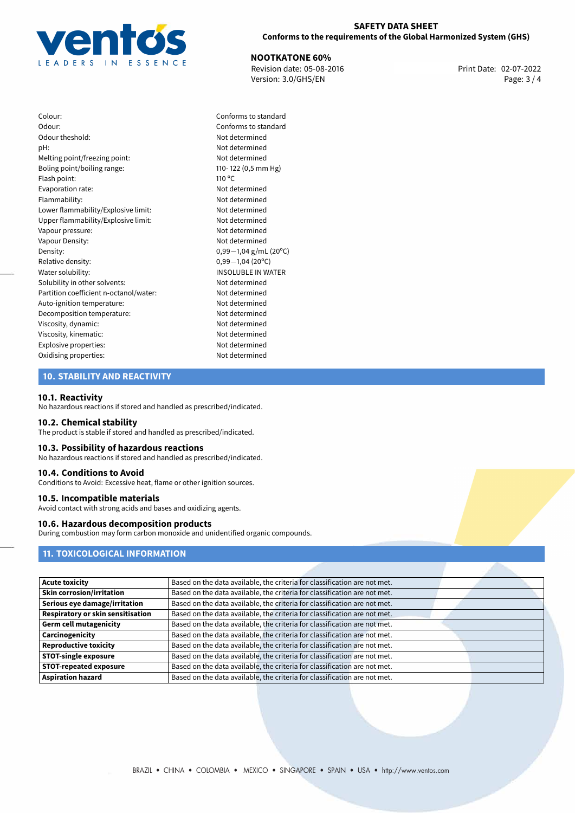

### **SAFETY DATA SHEET Conforms to the requirements of the Global Harmonized System (GHS)**

**NOOTKATONE 60%**<br>
Revision date: 05-08-2016 **Print Date: 02-07-2022** Version: 3.0/GHS/EN Page: 3 / 4

Colour: Conforms to standard Odour: Conforms to standard Odour theshold: Not determined pH: Not determined Melting point/freezing point: Not determined Boling point/boiling range: 110- 122 (0,5 mm Hg) Flash point: 110 °C Evaporation rate: Not determined Flammability: Not determined Lower flammability/Explosive limit: Not determined Upper flammability/Explosive limit: Not determined Vapour pressure: Not determined Vapour Density: Vapour Density: Density: 0,99−1,04 g/mL (20<sup>o</sup>C)<br>Relative density: 0,99−1,04 (20<sup>o</sup>C) Relative density: 0,99*−*1,04 (20ºC) Solubility in other solvents: Not determined Partition coefficient n-octanol/water: Not determined Auto-ignition temperature: Not determined Decomposition temperature: Not determined Viscosity, dynamic: Not determined Viscosity, kinematic: Not determined Explosive properties: Not determined Oxidising properties: Not determined

# **INSOLUBLE IN WATER**

# **10. STABILITY AND REACTIVITY**

#### **10.1. Reactivity**

No hazardous reactions if stored and handled as prescribed/indicated.

#### **10.2. Chemical stability**

The product is stable if stored and handled as prescribed/indicated.

#### **10.3. Possibility of hazardous reactions**

No hazardous reactions if stored and handled as prescribed/indicated.

#### **10.4. Conditions to Avoid**

Conditions to Avoid: Excessive heat, flame or other ignition sources.

#### **10.5. Incompatible materials**

Avoid contact with strong acids and bases and oxidizing agents.

# **10.6. Hazardous decomposition products**

During combustion may form carbon monoxide and unidentified organic compounds.

# **11. TOXICOLOGICAL INFORMATION**

| <b>Acute toxicity</b>             | Based on the data available, the criteria for classification are not met. |
|-----------------------------------|---------------------------------------------------------------------------|
| <b>Skin corrosion/irritation</b>  | Based on the data available, the criteria for classification are not met. |
| Serious eye damage/irritation     | Based on the data available, the criteria for classification are not met. |
| Respiratory or skin sensitisation | Based on the data available, the criteria for classification are not met. |
| <b>Germ cell mutagenicity</b>     | Based on the data available, the criteria for classification are not met. |
| Carcinogenicity                   | Based on the data available, the criteria for classification are not met. |
| <b>Reproductive toxicity</b>      | Based on the data available, the criteria for classification are not met. |
| <b>STOT-single exposure</b>       | Based on the data available, the criteria for classification are not met. |
| <b>STOT-repeated exposure</b>     | Based on the data available, the criteria for classification are not met. |
| <b>Aspiration hazard</b>          | Based on the data available, the criteria for classification are not met. |
|                                   |                                                                           |